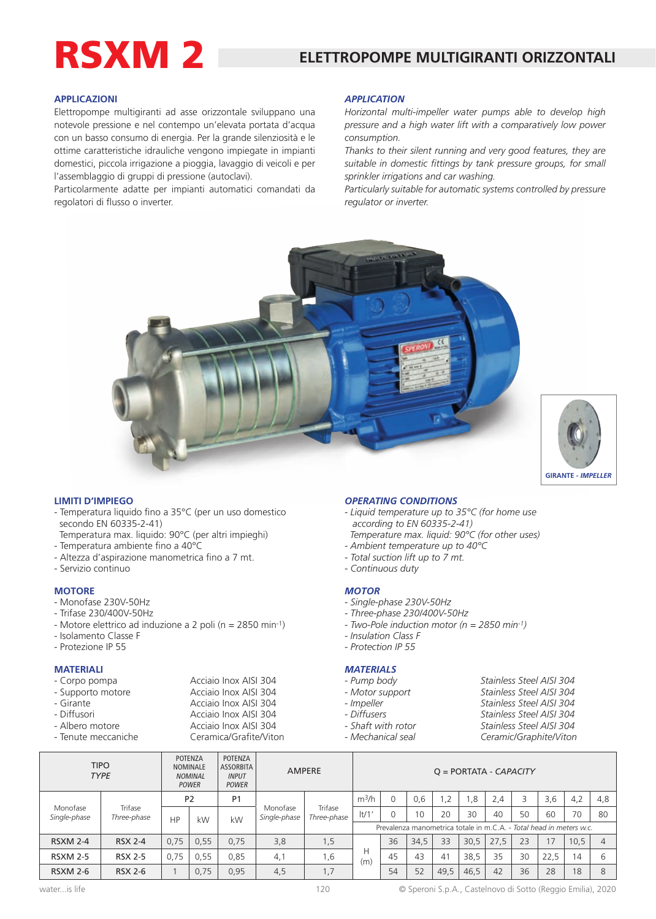# RSXM 2

### **APPLICAZIONI**

Elettropompe multigiranti ad asse orizzontale sviluppano una notevole pressione e nel contempo un'elevata portata d'acqua con un basso consumo di energia. Per la grande silenziosità e le ottime caratteristiche idrauliche vengono impiegate in impianti domestici, piccola irrigazione a pioggia, lavaggio di veicoli e per l'assemblaggio di gruppi di pressione (autoclavi).

Particolarmente adatte per impianti automatici comandati da regolatori di flusso o inverter.

#### *APPLICATION*

*Horizontal multi-impeller water pumps able to develop high pressure and a high water lift with a comparatively low power consumption.*

*Thanks to their silent running and very good features, they are suitable in domestic fittings by tank pressure groups, for small sprinkler irrigations and car washing.*

*Particularly suitable for automatic systems controlled by pressure regulator or inverter.*





#### **LIMITI D'IMPIEGO**

- Temperatura liquido fino a 35°C (per un uso domestico secondo EN 60335-2-41)
- Temperatura max. liquido: 90°C (per altri impieghi)
- Temperatura ambiente fino a 40°C
- Altezza d'aspirazione manometrica fino a 7 mt.
- Servizio continuo

#### **MOTORE**

- Monofase 230V-50Hz
- Trifase 230/400V-50Hz
- Motore elettrico ad induzione a 2 poli (n = 2850 min-1)
- Isolamento Classe F
- Protezione IP 55

## **MATERIALI**

| - Corpo pompa     | Acciaio Inox AISI 304 |
|-------------------|-----------------------|
| - Supporto motore | Acciaio Inox AISI 304 |
| - Girante         | Acciaio Inox AISI 304 |
| - Diffusori       | Acciaio Inox AISI 304 |
| - Albero motore   | Acciaio Inox AISI 304 |

- Tenute meccaniche Ceramica/Grafite/Viton

#### *OPERATING CONDITIONS*

- *Liquid temperature up to 35°C (for home use according to EN 60335-2-41)*
- *Temperature max. liquid: 90°C (for other uses) - Ambient temperature up to 40°C*
- *Total suction lift up to 7 mt.*
- 
- *Continuous duty*

# *MOTOR*

- *Single-phase 230V-50Hz*
- *Three-phase 230/400V-50Hz*
- *Two-Pole induction motor (n = 2850 min-1)*
- *Insulation Class F*
- *Protection IP 55*

# *MATERIALS*

- 
- 
- 
- 
- 
- 
- *Pump body Stainless Steel AISI 304* Stainless Steel AISI 304 *- Impeller Stainless Steel AISI 304 - Diffusers Stainless Steel AISI 304 - Shaft with rotor Stainless Steel AISI 304 - Mechanical seal Ceramic/Graphite/Viton*

|                          | <b>TIPO</b><br><b>TYPE</b>     | POTENZA<br><b>NOMINALE</b><br><b>NOMINAL</b><br><b>POWER</b> |                | POTENZA<br>ASSORBITA<br><b>INPUT</b><br><b>POWER</b> | <b>AMPERE</b>            | $Q = PORTATA - CAPACITY$ |                                                                     |      |      |     |      |      |    |      |      |     |
|--------------------------|--------------------------------|--------------------------------------------------------------|----------------|------------------------------------------------------|--------------------------|--------------------------|---------------------------------------------------------------------|------|------|-----|------|------|----|------|------|-----|
| Monofase<br>Single-phase | Trifase<br>Three-phase         |                                                              | P <sub>2</sub> | P <sub>1</sub>                                       |                          | Trifase<br>Three-phase   | m <sup>3</sup> /h                                                   |      | 0.6  | 1,2 | .8   | 2,4  |    | 3,6  | 4,2  | 4,8 |
|                          |                                | HP                                                           | kW             | kW                                                   | Monofase<br>Single-phase |                          | $ t/1$ '                                                            |      | 10   | 20  | 30   | 40   | 50 | 60   | 70   | 80  |
|                          |                                |                                                              |                |                                                      |                          |                          | Prevalenza manometrica totale in m.C.A. - Total head in meters w.c. |      |      |     |      |      |    |      |      |     |
| <b>RSXM 2-4</b>          | <b>RSX 2-4</b>                 | 0.75                                                         | 0,55           | 0,75                                                 | 3,8                      | 1,5                      |                                                                     | 36   | 34,5 | 33  | 30,5 | 27,5 | 23 | 17   | 10,5 |     |
| <b>RSXM 2-5</b>          | <b>RSX 2-5</b>                 | 0.75                                                         | 0.55           | 0.85                                                 | 4,1                      | 1,6                      | Н<br>(m)                                                            | 45   | 43   | 41  | 38.5 | 35   | 30 | 22,5 | 14   |     |
| <b>RSXM 2-6</b>          | 0,75<br>0,95<br><b>RSX 2-6</b> |                                                              | 4,5            | 1,7                                                  |                          | 54                       | 52                                                                  | 49.5 | 46.5 | 42  | 36   | 28   | 18 |      |      |     |